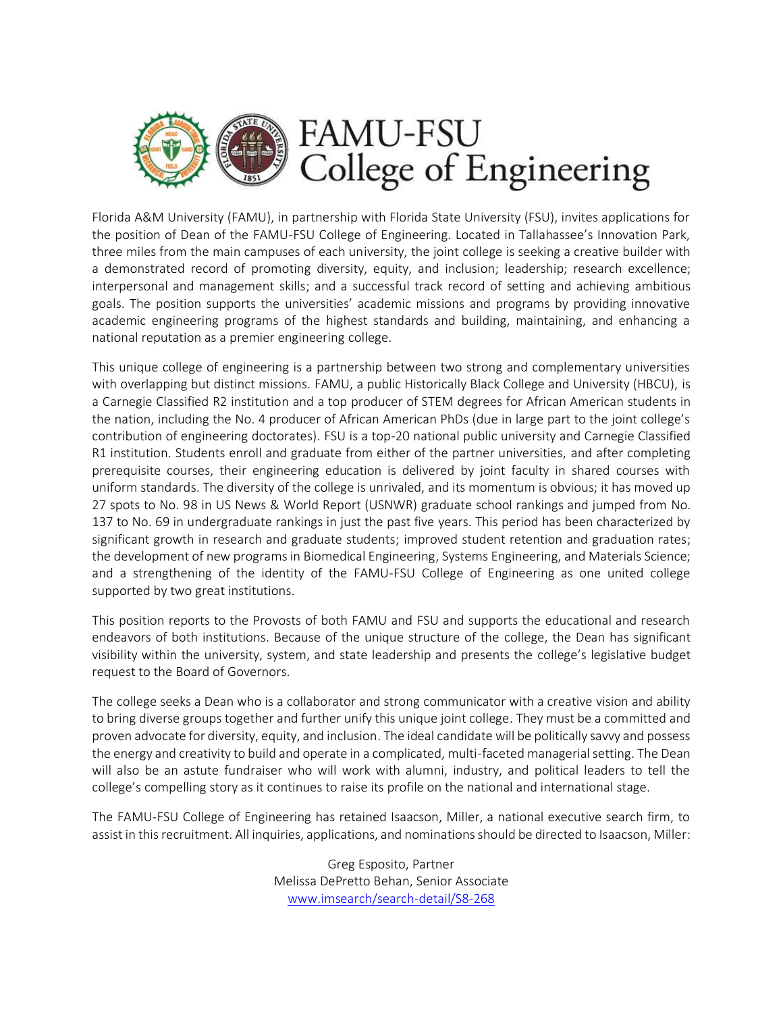

Florida A&M University (FAMU), in partnership with Florida State University (FSU), invites applications for the position of Dean of the FAMU-FSU College of Engineering. Located in Tallahassee's Innovation Park, three miles from the main campuses of each university, the joint college is seeking a creative builder with a demonstrated record of promoting diversity, equity, and inclusion; leadership; research excellence; interpersonal and management skills; and a successful track record of setting and achieving ambitious goals. The position supports the universities' academic missions and programs by providing innovative academic engineering programs of the highest standards and building, maintaining, and enhancing a national reputation as a premier engineering college.

This unique college of engineering is a partnership between two strong and complementary universities with overlapping but distinct missions. FAMU, a public Historically Black College and University (HBCU), is a Carnegie Classified R2 institution and a top producer of STEM degrees for African American students in the nation, including the No. 4 producer of African American PhDs (due in large part to the joint college's contribution of engineering doctorates). FSU is a top-20 national public university and Carnegie Classified R1 institution. Students enroll and graduate from either of the partner universities, and after completing prerequisite courses, their engineering education is delivered by joint faculty in shared courses with uniform standards. The diversity of the college is unrivaled, and its momentum is obvious; it has moved up 27 spots to No. 98 in US News & World Report (USNWR) graduate school rankings and jumped from No. 137 to No. 69 in undergraduate rankings in just the past five years. This period has been characterized by significant growth in research and graduate students; improved student retention and graduation rates; the development of new programs in Biomedical Engineering, Systems Engineering, and Materials Science; and a strengthening of the identity of the FAMU-FSU College of Engineering as one united college supported by two great institutions.

This position reports to the Provosts of both FAMU and FSU and supports the educational and research endeavors of both institutions. Because of the unique structure of the college, the Dean has significant visibility within the university, system, and state leadership and presents the college's legislative budget request to the Board of Governors.

The college seeks a Dean who is a collaborator and strong communicator with a creative vision and ability to bring diverse groups together and further unify this unique joint college. They must be a committed and proven advocate for diversity, equity, and inclusion. The ideal candidate will be politically savvy and possess the energy and creativity to build and operate in a complicated, multi-faceted managerial setting. The Dean will also be an astute fundraiser who will work with alumni, industry, and political leaders to tell the college's compelling story as it continues to raise its profile on the national and international stage.

The FAMU-FSU College of Engineering has retained Isaacson, Miller, a national executive search firm, to assist in this recruitment. All inquiries, applications, and nominations should be directed to Isaacson, Miller:

> Greg Esposito, Partner Melissa DePretto Behan, Senior Associate [www.imsearch/search-detail/S8-268](http://www.imsearch/search-detail/S8-268)